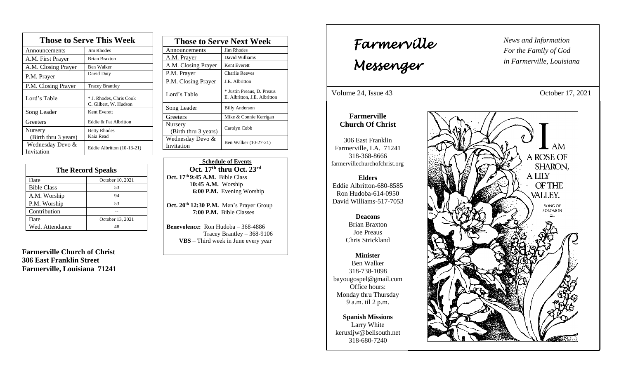| <b>Those to Serve This Week</b> |                                                  |
|---------------------------------|--------------------------------------------------|
| Announcements                   | <b>Jim Rhodes</b>                                |
| A.M. First Prayer               | <b>Brian Braxton</b>                             |
| A.M. Closing Prayer             | Ben Walker                                       |
| P.M. Prayer                     | David Duty                                       |
| P.M. Closing Prayer             | <b>Tracey Brantley</b>                           |
| Lord's Table                    | * J. Rhodes, Chris Cook<br>C. Gilbert, W. Hudson |
| Song Leader                     | Kent Everett                                     |
| Greeters                        | Eddie & Pat Albritton                            |
| Nursery<br>(Birth thru 3 years) | <b>Betty Rhodes</b><br>Kaia Read                 |
| Wednesday Devo &<br>Invitation  | Eddie Albritton (10-13-21)                       |

| <b>The Record Speaks</b> |                  |  |
|--------------------------|------------------|--|
| Date                     | October 10, 2021 |  |
| <b>Bible Class</b>       | 53               |  |
| A.M. Worship             | 94               |  |
| P.M. Worship             | 53               |  |
| Contribution             |                  |  |
| Date                     | October 13, 2021 |  |
| Wed. Attendance          |                  |  |

**Farmerville Church of Christ 306 East Franklin Street Farmerville, Louisiana 71241**

| <b>Those to Serve Next Week</b> |                                                            |
|---------------------------------|------------------------------------------------------------|
| Announcements                   | Jim Rhodes                                                 |
| A.M. Prayer                     | David Williams                                             |
| A.M. Closing Prayer             | Kent Everett                                               |
| P.M. Prayer                     | Charlie Reeves                                             |
| P.M. Closing Prayer             | J.E. Albritton                                             |
| Lord's Table                    | * Justin Preaus, D. Preaus<br>E. Albritton, J.E. Albritton |
| Song Leader                     | <b>Billy Anderson</b>                                      |
| Greeters                        | Mike & Connie Kerrigan                                     |
| Nursery<br>(Birth thru 3 years) | Carolyn Cobb                                               |
| Wednesday Devo &<br>Invitation  | Ben Walker (10-27-21)                                      |

 **Schedule of Events Oct. 17 th thru Oct. 23rd Oct. 17th 9:45 A.M.** Bible Class 1**0:45 A.M.** Worship  **6:00 P.M.** Evening Worship

**Oct. 20th 12:30 P.M.** Men's Prayer Group **7:00 P.M.** Bible Classes

**Benevolence:** Ron Hudoba – 368-4886 Tracey Brantley – 368-9106 **VBS** – Third week in June every year

*News and Information* **Farmerville**  $\parallel$  News and *For the Family of God in Farmerville, Louisiana Messenger*  Volume 24, Issue 43 October 17, 2021 , 2015 **Farmerville Church Of Christ** 306 East Franklin AM Farmerville, LA. 71241 A ROSE OF 318-368-8666 farmervillechurchofchrist.org SHARON, A LILY **Elders** Eddie Albritton-680-8585 **OF THE** Ron Hudoba-614-0950 **VALLEY.** David Williams-517-7053 SONG OF SOLOMON  $2:1$ **Deacons**  Brian Braxton Joe Preaus Chris Strickland **Minister** Ben Walker 318-738-1098 bayougospel@gmail.com Office hours: Monday thru Thursday 9 a.m. til 2 p.m. **Spanish Missions** Larry White keruxljw@bellsouth.net 318-680-7240